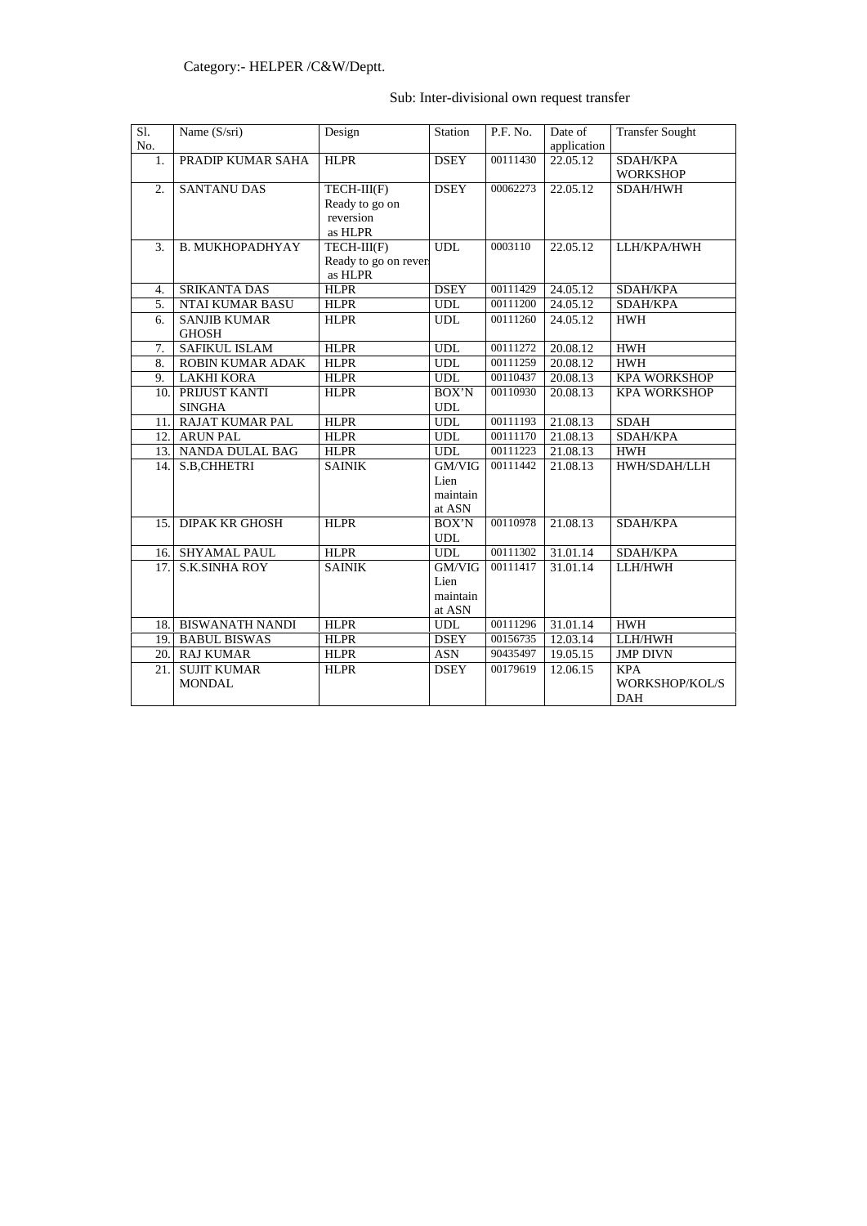# Sub: Inter-divisional own request transfer

| Sl.<br>No. | Name (S/sri)                        | Design                                                | Station                              | P.F. No.              | Date of<br>application | <b>Transfer Sought</b>                     |
|------------|-------------------------------------|-------------------------------------------------------|--------------------------------------|-----------------------|------------------------|--------------------------------------------|
| 1.         | PRADIP KUMAR SAHA                   | <b>HLPR</b>                                           | <b>DSEY</b>                          | 00111430              | 22.05.12               | SDAH/KPA<br><b>WORKSHOP</b>                |
| 2.         | <b>SANTANU DAS</b>                  | TECH-III(F)<br>Ready to go on<br>reversion<br>as HLPR | <b>DSEY</b>                          | 00062273              | 22.05.12               | <b>SDAH/HWH</b>                            |
| 3.         | <b>B. MUKHOPADHYAY</b>              | $TECH-III(F)$<br>Ready to go on rever<br>as HLPR      | <b>UDL</b>                           | 0003110               | 22.05.12               | LLH/KPA/HWH                                |
| 4.         | <b>SRIKANTA DAS</b>                 | <b>HLPR</b>                                           | <b>DSEY</b>                          | 00111429              | 24.05.12               | SDAH/KPA                                   |
| 5.         | NTAI KUMAR BASU                     | <b>HLPR</b>                                           | <b>UDL</b>                           | 00111200              | 24.05.12               | SDAH/KPA                                   |
| 6.         | <b>SANJIB KUMAR</b><br><b>GHOSH</b> | <b>HLPR</b>                                           | <b>UDL</b>                           | 00111260              | 24.05.12               | <b>HWH</b>                                 |
| 7.         | <b>SAFIKUL ISLAM</b>                | <b>HLPR</b>                                           | <b>UDL</b>                           | 00111272              | 20.08.12               | <b>HWH</b>                                 |
| 8.         | <b>ROBIN KUMAR ADAK</b>             | <b>HLPR</b>                                           | <b>UDL</b>                           | 00111259              | 20.08.12               | <b>HWH</b>                                 |
| 9.         | <b>LAKHI KORA</b>                   | <b>HLPR</b>                                           | <b>UDL</b>                           | 00110437              | 20.08.13               | <b>KPA WORKSHOP</b>                        |
| 10.        | PRIJUST KANTI<br><b>SINGHA</b>      | <b>HLPR</b>                                           | BOX'N<br><b>UDL</b>                  | 00110930              | 20.08.13               | <b>KPA WORKSHOP</b>                        |
| 11.        | <b>RAJAT KUMAR PAL</b>              | <b>HLPR</b>                                           | <b>UDL</b>                           | $\overline{00111193}$ | 21.08.13               | <b>SDAH</b>                                |
| 12.        | <b>ARUN PAL</b>                     | <b>HLPR</b>                                           | <b>UDL</b>                           | $\overline{0011}1170$ | 21.08.13               | SDAH/KPA                                   |
| 13.        | NANDA DULAL BAG                     | <b>HLPR</b>                                           | <b>UDL</b>                           | $\overline{00}111223$ | 21.08.13               | <b>HWH</b>                                 |
| 14.        | S.B,CHHETRI                         | <b>SAINIK</b>                                         | GM/VIG<br>Lien<br>maintain<br>at ASN | 00111442              | 21.08.13               | HWH/SDAH/LLH                               |
| 15.        | <b>DIPAK KR GHOSH</b>               | <b>HLPR</b>                                           | BOX'N<br><b>UDL</b>                  | 00110978              | 21.08.13               | SDAH/KPA                                   |
| 16.        | <b>SHYAMAL PAUL</b>                 | <b>HLPR</b>                                           | <b>UDL</b>                           | 00111302              | 31.01.14               | SDAH/KPA                                   |
| 17.        | <b>S.K.SINHA ROY</b>                | <b>SAINIK</b>                                         | GM/VIG<br>Lien<br>maintain<br>at ASN | 00111417              | 31.01.14               | LLH/HWH                                    |
| 18.        | <b>BISWANATH NANDI</b>              | <b>HLPR</b>                                           | <b>UDL</b>                           | 00111296              | 31.01.14               | <b>HWH</b>                                 |
| 19.        | <b>BABUL BISWAS</b>                 | <b>HLPR</b>                                           | <b>DSEY</b>                          | 00156735              | 12.03.14               | LLH/HWH                                    |
| 20.        | <b>RAJ KUMAR</b>                    | <b>HLPR</b>                                           | <b>ASN</b>                           | 90435497              | 19.05.15               | <b>JMP DIVN</b>                            |
| 21.        | <b>SUJIT KUMAR</b><br><b>MONDAL</b> | <b>HLPR</b>                                           | <b>DSEY</b>                          | 00179619              | 12.06.15               | <b>KPA</b><br>WORKSHOP/KOL/S<br><b>DAH</b> |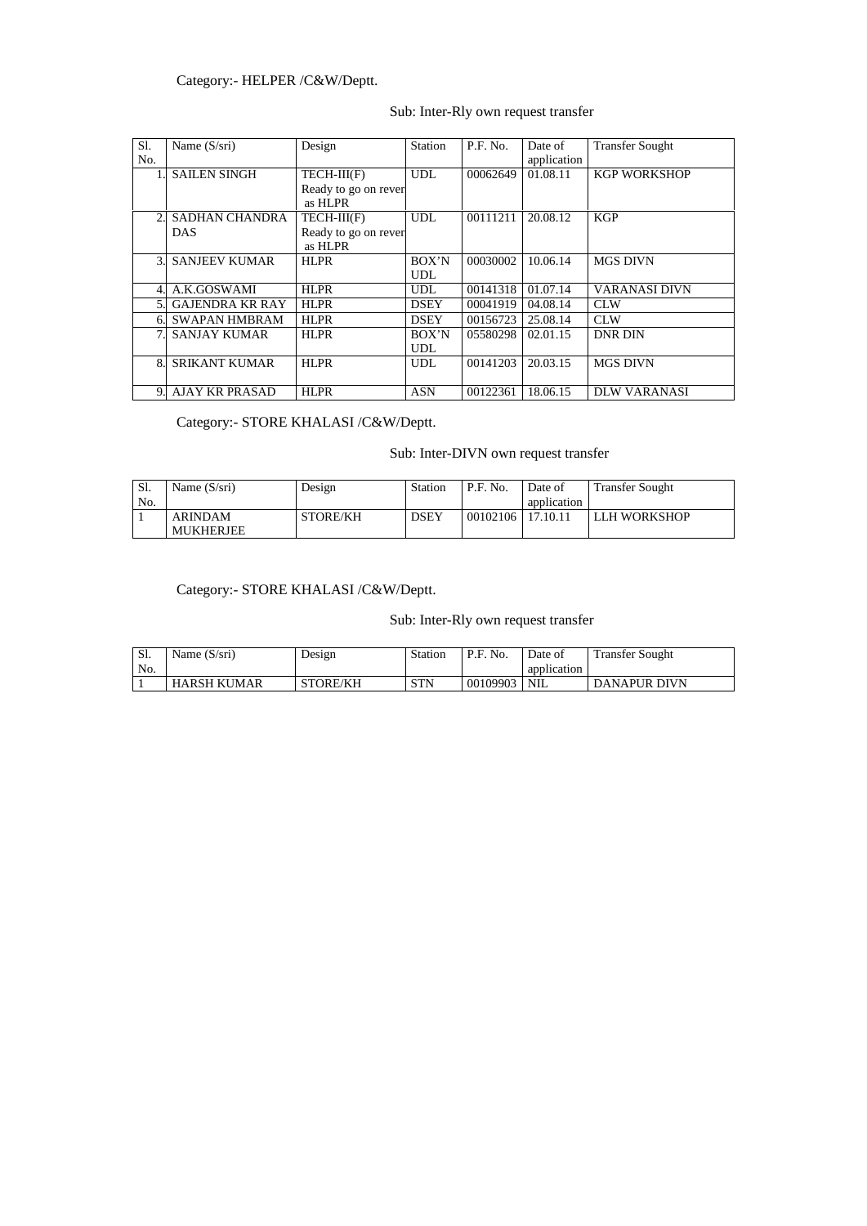## Category:- HELPER /C&W/Deptt.

## Sub: Inter-Rly own request transfer

## Category:- STORE KHALASI /C&W/Deptt.

## Sub: Inter-DIVN own request transfer

## Category:- STORE KHALASI /C&W/Deptt.

## Sub: Inter-Rly own request transfer

| Sl.           | Name $(S/sri)$         | Design               | <b>Station</b> | P.F. No. | Date of     | <b>Transfer Sought</b> |
|---------------|------------------------|----------------------|----------------|----------|-------------|------------------------|
| No.           |                        |                      |                |          | application |                        |
|               | <b>SAILEN SINGH</b>    | $TECH-III(F)$        | <b>UDL</b>     | 00062649 | 01.08.11    | <b>KGP WORKSHOP</b>    |
|               |                        | Ready to go on rever |                |          |             |                        |
|               |                        | as HLPR              |                |          |             |                        |
| 2.            | <b>SADHAN CHANDRA</b>  | $TECH-III(F)$        | <b>UDL</b>     | 00111211 | 20.08.12    | <b>KGP</b>             |
|               | <b>DAS</b>             | Ready to go on rever |                |          |             |                        |
|               |                        | as HLPR              |                |          |             |                        |
| $\mathcal{E}$ | <b>SANJEEV KUMAR</b>   | <b>HLPR</b>          | BOX'N          | 00030002 | 10.06.14    | <b>MGS DIVN</b>        |
|               |                        |                      | UDL            |          |             |                        |
| 4.            | A.K.GOSWAMI            | <b>HLPR</b>          | <b>UDL</b>     | 00141318 | 01.07.14    | <b>VARANASI DIVN</b>   |
| 5.            | <b>GAJENDRA KR RAY</b> | <b>HLPR</b>          | <b>DSEY</b>    | 00041919 | 04.08.14    | <b>CLW</b>             |
| 6.            | <b>SWAPAN HMBRAM</b>   | <b>HLPR</b>          | <b>DSEY</b>    | 00156723 | 25.08.14    | <b>CLW</b>             |
| 7.            | <b>SANJAY KUMAR</b>    | <b>HLPR</b>          | BOX'N          | 05580298 | 02.01.15    | <b>DNR DIN</b>         |
|               |                        |                      | <b>UDL</b>     |          |             |                        |
| 8.            | <b>SRIKANT KUMAR</b>   | <b>HLPR</b>          | <b>UDL</b>     | 00141203 | 20.03.15    | <b>MGS DIVN</b>        |
|               |                        |                      |                |          |             |                        |
| 9.            | <b>AJAY KR PRASAD</b>  | <b>HLPR</b>          | <b>ASN</b>     | 00122361 | 18.06.15    | <b>DLW VARANASI</b>    |

| Sl. | Name $(S/sri)$   | Design          | <b>Station</b> | P.F. No. | Date of     | <b>Transfer Sought</b> |
|-----|------------------|-----------------|----------------|----------|-------------|------------------------|
| No. |                  |                 |                |          | application |                        |
|     | <b>ARINDAM</b>   | <b>STORE/KH</b> | DSEY           | 00102106 | 17.10.11    | LLH WORKSHOP           |
|     | <b>MUKHERJEE</b> |                 |                |          |             |                        |

| C1<br>، 1 ف | Name (S/sri)       | Design          | <b>Station</b> | P.F. No. | Date of     | <b>Transfer Sought</b> |
|-------------|--------------------|-----------------|----------------|----------|-------------|------------------------|
| No.         |                    |                 |                |          | application |                        |
|             | <b>HARSH KUMAR</b> | <b>STORE/KH</b> | <b>STN</b>     | 00109903 | NIL         | <b>DANAPUR DIVN</b>    |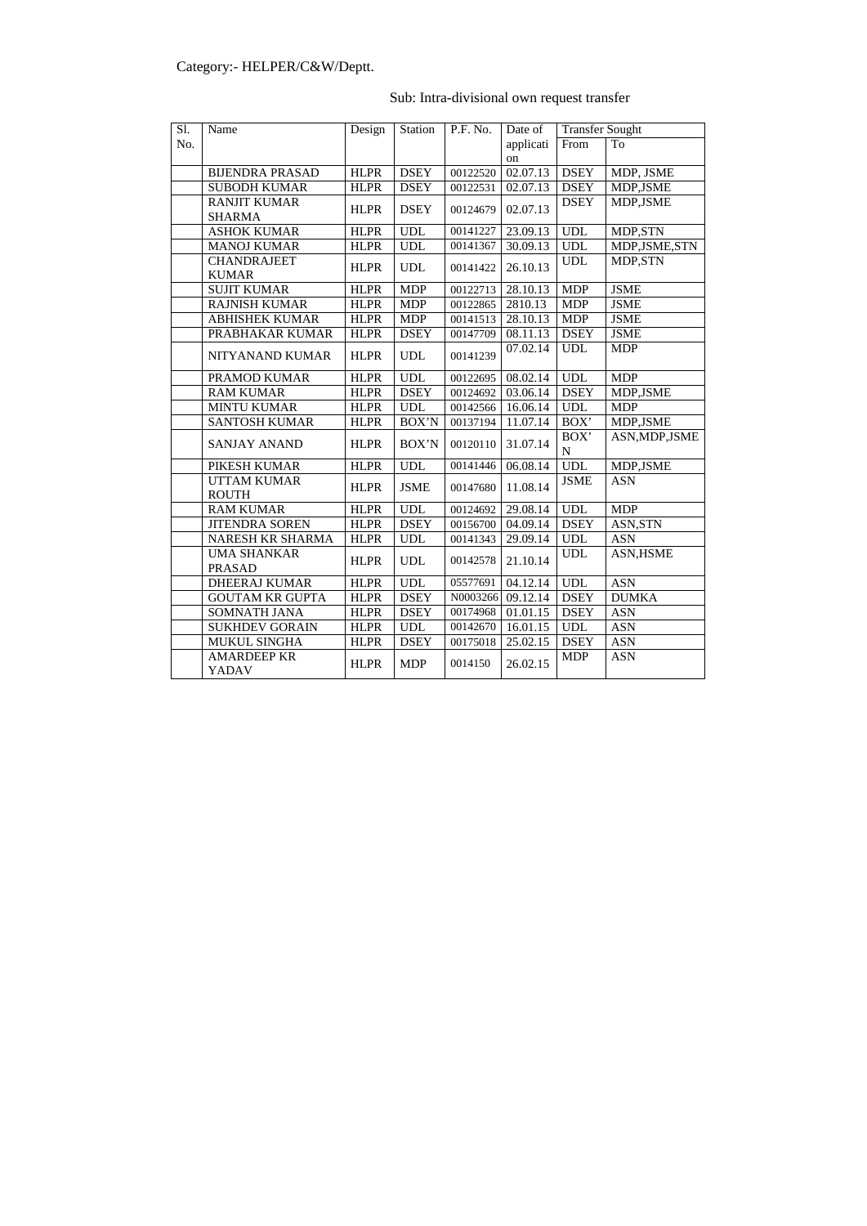# Sub: Intra-divisional own request transfer

| Sl. | Name                   | Design      | <b>Station</b>              | P.F. No. | Date of               | <b>Transfer Sought</b> |                  |
|-----|------------------------|-------------|-----------------------------|----------|-----------------------|------------------------|------------------|
| No. |                        |             |                             |          | applicati             | From                   | To               |
|     |                        |             |                             |          | on                    |                        |                  |
|     | <b>BIJENDRA PRASAD</b> | <b>HLPR</b> | <b>DSEY</b>                 | 00122520 | 02.07.13              | <b>DSEY</b>            | MDP, JSME        |
|     | <b>SUBODH KUMAR</b>    | <b>HLPR</b> | <b>DSEY</b>                 | 00122531 | 02.07.13              | <b>DSEY</b>            | MDP,JSME         |
|     | <b>RANJIT KUMAR</b>    | <b>HLPR</b> | <b>DSEY</b>                 | 00124679 | 02.07.13              | <b>DSEY</b>            | MDP, JSME        |
|     | <b>SHARMA</b>          |             |                             |          |                       |                        |                  |
|     | <b>ASHOK KUMAR</b>     | <b>HLPR</b> | <b>UDL</b>                  | 00141227 | 23.09.13              | <b>UDL</b>             | MDP,STN          |
|     | <b>MANOJ KUMAR</b>     | <b>HLPR</b> | <b>UDL</b>                  | 00141367 | 30.09.13              | <b>UDL</b>             | MDP, JSME, STN   |
|     | <b>CHANDRAJEET</b>     | <b>HLPR</b> | <b>UDL</b>                  | 00141422 | 26.10.13              | <b>UDL</b>             | MDP,STN          |
|     | <b>KUMAR</b>           |             |                             |          |                       |                        |                  |
|     | <b>SUJIT KUMAR</b>     | <b>HLPR</b> | <b>MDP</b>                  | 00122713 | 28.10.13              | <b>MDP</b>             | <b>JSME</b>      |
|     | <b>RAJNISH KUMAR</b>   | <b>HLPR</b> | <b>MDP</b>                  | 00122865 | 2810.13               | <b>MDP</b>             | <b>JSME</b>      |
|     | <b>ABHISHEK KUMAR</b>  | <b>HLPR</b> | <b>MDP</b>                  | 00141513 | 28.10.13              | <b>MDP</b>             | <b>JSME</b>      |
|     | PRABHAKAR KUMAR        | <b>HLPR</b> | <b>DSEY</b>                 | 00147709 | 08.11.13              | <b>DSEY</b>            | <b>JSME</b>      |
|     |                        |             | <b>UDL</b>                  | 00141239 | 07.02.14              | <b>UDL</b>             | <b>MDP</b>       |
|     | NITYANAND KUMAR        | <b>HLPR</b> |                             |          |                       |                        |                  |
|     | PRAMOD KUMAR           | <b>HLPR</b> | <b>UDL</b>                  | 00122695 | 08.02.14              | <b>UDL</b>             | <b>MDP</b>       |
|     | <b>RAM KUMAR</b>       | <b>HLPR</b> | <b>DSEY</b>                 | 00124692 | 03.06.14              | <b>DSEY</b>            | MDP, JSME        |
|     | <b>MINTU KUMAR</b>     | <b>HLPR</b> | <b>UDL</b>                  | 00142566 | 16.06.14              | <b>UDL</b>             | <b>MDP</b>       |
|     | <b>SANTOSH KUMAR</b>   | <b>HLPR</b> | BOX'N                       | 00137194 | 11.07.14              | BOX'                   | MDP, JSME        |
|     |                        |             |                             |          |                       | BOX'                   | ASN, MDP, JSME   |
|     | <b>SANJAY ANAND</b>    | <b>HLPR</b> | BOX'N                       | 00120110 | 31.07.14              | ${\bf N}$              |                  |
|     | PIKESH KUMAR           | <b>HLPR</b> | <b>UDL</b>                  | 00141446 | 06.08.14              | <b>UDL</b>             | MDP,JSME         |
|     | <b>UTTAM KUMAR</b>     |             |                             | 00147680 |                       | <b>JSME</b>            | <b>ASN</b>       |
|     | <b>ROUTH</b>           | <b>HLPR</b> | <b>JSME</b>                 |          | 11.08.14              |                        |                  |
|     | <b>RAM KUMAR</b>       | <b>HLPR</b> | <b>UDL</b>                  | 00124692 | 29.08.14              | <b>UDL</b>             | <b>MDP</b>       |
|     | <b>JITENDRA SOREN</b>  | <b>HLPR</b> | <b>DSEY</b>                 | 00156700 | 04.09.14              | <b>DSEY</b>            | ASN, STN         |
|     | NARESH KR SHARMA       | <b>HLPR</b> | <b>UDL</b>                  | 00141343 | 29.09.14              | <b>UDL</b>             | <b>ASN</b>       |
|     | <b>UMA SHANKAR</b>     | <b>HLPR</b> |                             | 00142578 |                       | <b>UDL</b>             | <b>ASN, HSME</b> |
|     | <b>PRASAD</b>          |             | <b>UDL</b>                  |          | 21.10.14              |                        |                  |
|     | <b>DHEERAJ KUMAR</b>   | <b>HLPR</b> | $\ensuremath{\mathsf{UDL}}$ |          | 05577691 04.12.14 UDL |                        | <b>ASN</b>       |
|     | <b>GOUTAM KR GUPTA</b> | <b>HLPR</b> | <b>DSEY</b>                 | N0003266 | 09.12.14              | <b>DSEY</b>            | <b>DUMKA</b>     |
|     | <b>SOMNATH JANA</b>    | <b>HLPR</b> | <b>DSEY</b>                 | 00174968 | 01.01.15              | <b>DSEY</b>            | <b>ASN</b>       |
|     | <b>SUKHDEV GORAIN</b>  | <b>HLPR</b> | <b>UDL</b>                  | 00142670 | 16.01.15              | <b>UDL</b>             | <b>ASN</b>       |
|     | <b>MUKUL SINGHA</b>    | <b>HLPR</b> | <b>DSEY</b>                 | 00175018 | 25.02.15              | <b>DSEY</b>            | <b>ASN</b>       |
|     | <b>AMARDEEP KR</b>     |             |                             | 0014150  | 26.02.15              | <b>MDP</b>             | <b>ASN</b>       |
|     | <b>YADAV</b>           | <b>HLPR</b> | <b>MDP</b>                  |          |                       |                        |                  |